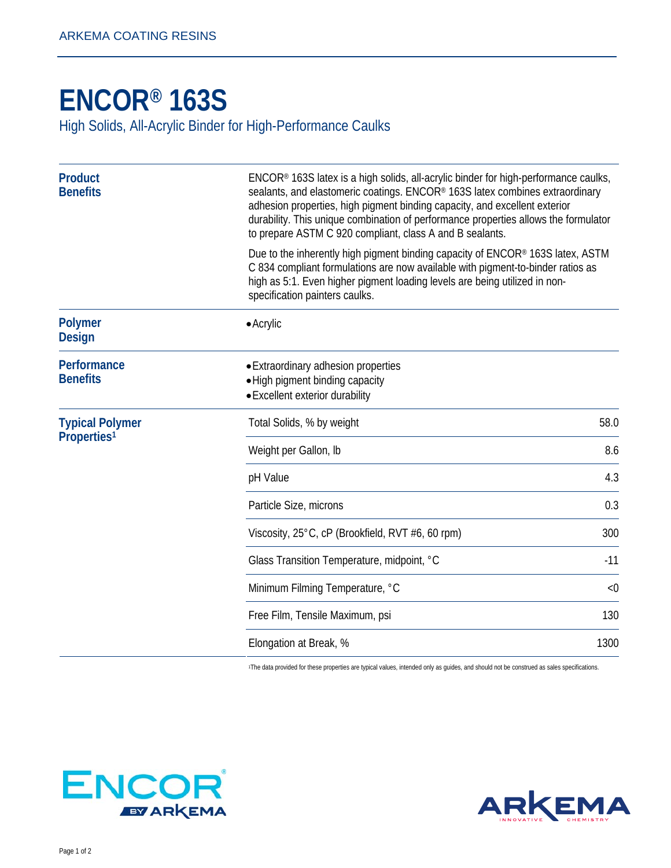## **[ENCOR® 1](http://www.arkemacoatingresins.com/en/index.html)63S**

High Solids, All-Acrylic Binder for High-Performance Caulks

| <b>Product</b><br><b>Benefits</b>                 | ENCOR® 163S latex is a high solids, all-acrylic binder for high-performance caulks,<br>sealants, and elastomeric coatings. ENCOR® 163S latex combines extraordinary<br>adhesion properties, high pigment binding capacity, and excellent exterior<br>durability. This unique combination of performance properties allows the formulator<br>to prepare ASTM C 920 compliant, class A and B sealants. |       |
|---------------------------------------------------|------------------------------------------------------------------------------------------------------------------------------------------------------------------------------------------------------------------------------------------------------------------------------------------------------------------------------------------------------------------------------------------------------|-------|
|                                                   | Due to the inherently high pigment binding capacity of ENCOR® 163S latex, ASTM<br>C 834 compliant formulations are now available with pigment-to-binder ratios as<br>high as 5:1. Even higher pigment loading levels are being utilized in non-<br>specification painters caulks.                                                                                                                    |       |
| <b>Polymer</b><br><b>Design</b>                   | $\bullet$ Acrylic                                                                                                                                                                                                                                                                                                                                                                                    |       |
| Performance<br><b>Benefits</b>                    | • Extraordinary adhesion properties<br>• High pigment binding capacity<br>• Excellent exterior durability                                                                                                                                                                                                                                                                                            |       |
| <b>Typical Polymer</b><br>Properties <sup>1</sup> | Total Solids, % by weight                                                                                                                                                                                                                                                                                                                                                                            | 58.0  |
|                                                   | Weight per Gallon, Ib                                                                                                                                                                                                                                                                                                                                                                                | 8.6   |
|                                                   | pH Value                                                                                                                                                                                                                                                                                                                                                                                             | 4.3   |
|                                                   | Particle Size, microns                                                                                                                                                                                                                                                                                                                                                                               | 0.3   |
|                                                   | Viscosity, 25°C, cP (Brookfield, RVT #6, 60 rpm)                                                                                                                                                                                                                                                                                                                                                     | 300   |
|                                                   | Glass Transition Temperature, midpoint, °C                                                                                                                                                                                                                                                                                                                                                           | $-11$ |
|                                                   | Minimum Filming Temperature, °C                                                                                                                                                                                                                                                                                                                                                                      | < 0   |
|                                                   | Free Film, Tensile Maximum, psi                                                                                                                                                                                                                                                                                                                                                                      | 130   |
|                                                   | Elongation at Break, %                                                                                                                                                                                                                                                                                                                                                                               | 1300  |

1The data provided for these properties are typical values, intended only as guides, and should not be construed as sales specifications.